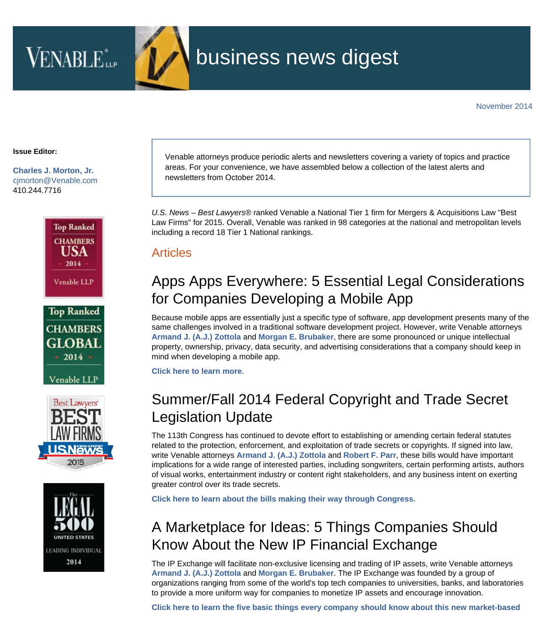

# business news digest

#### **Issue Editor:**

**[Charles J. Morton, Jr.](http://www.venable.com/charles-j-morton)** [cjmorton@Venable.com](mailto:cjmorton@Venable.com) 410.244.7716









Venable attorneys produce periodic alerts and newsletters covering a variety of topics and practice areas. For your convenience, we have assembled below a collection of the latest alerts and newsletters from October 2014.

*U.S. News – Best Lawyers*® ranked Venable a National Tier 1 firm for Mergers & Acquisitions Law "Best Law Firms" for 2015. Overall, Venable was ranked in 98 categories at the national and metropolitan levels including a record 18 Tier 1 National rankings.

#### **Articles**

## Apps Apps Everywhere: 5 Essential Legal Considerations for Companies Developing a Mobile App

Because mobile apps are essentially just a specific type of software, app development presents many of the same challenges involved in a traditional software development project. However, write Venable attorneys **[Armand J. \(A.J.\) Zottola](http://www.venable.com/Armand-J-Zottola?utm_source=hubbard&utm_medium=email&utm_campaign=BND-November2014)** and **[Morgan E. Brubaker](http://www.venable.com/Morgan-E-Brubaker?utm_source=hubbard&utm_medium=email&utm_campaign=BND-November2014)**, there are some pronounced or unique intellectual property, ownership, privacy, data security, and advertising considerations that a company should keep in mind when developing a mobile app.

**[Click here to learn more.](http://www.venable.com/apps-apps-everywhere-5-essential-legal-considerations-for-companies-developing-a-mobile-app/?utm_source=hubbard&utm_medium=email&utm_campaign=BND-November2014)**

### Summer/Fall 2014 Federal Copyright and Trade Secret Legislation Update

The 113th Congress has continued to devote effort to establishing or amending certain federal statutes related to the protection, enforcement, and exploitation of trade secrets or copyrights. If signed into law, write Venable attorneys **[Armand J. \(A.J.\) Zottola](http://www.venable.com/Armand-J-Zottola?utm_source=hubbard&utm_medium=email&utm_campaign=BND-November2014)** and **[Robert F. Parr](http://www.venable.com/robert-f-parr/?utm_source=hubbard&utm_medium=email&utm_campaign=BND-November2014)**, these bills would have important implications for a wide range of interested parties, including songwriters, certain performing artists, authors of visual works, entertainment industry or content right stakeholders, and any business intent on exerting greater control over its trade secrets.

**[Click here to learn about the bills making their way through Congress.](http://www.venable.com/files/Publication/8f1e7103-985d-4bc9-b4a8-9aaff9f28470/Presentation/PublicationAttachment/c789628d-fab1-45d6-88a9-a3a37b34d9ed/Digital Rights Review - Summer-Fall 2014 Federal Copyright and Trade Secret Legislati.pdf)**

### A Marketplace for Ideas: 5 Things Companies Should Know About the New IP Financial Exchange

The IP Exchange will facilitate non-exclusive licensing and trading of IP assets, write Venable attorneys **[Armand J. \(A.J.\) Zottola](http://www.venable.com/Armand-J-Zottola?utm_source=hubbard&utm_medium=email&utm_campaign=BND-November2014)** and **[Morgan E. Brubaker](http://www.venable.com/Morgan-E-Brubaker?utm_source=hubbard&utm_medium=email&utm_campaign=BND-November2014)**. The IP Exchange was founded by a group of organizations ranging from some of the world's top tech companies to universities, banks, and laboratories to provide a more uniform way for companies to monetize IP assets and encourage innovation.

**[Click here to learn the five basic things every company should know about this new market-based](http://www.venable.com/a-marketplace-for-ideas--5-things-companies-should-know-about-the-new-ip-financial-exchange/?utm_source=hubbard&utm_medium=email&utm_campaign=BND-November2014)**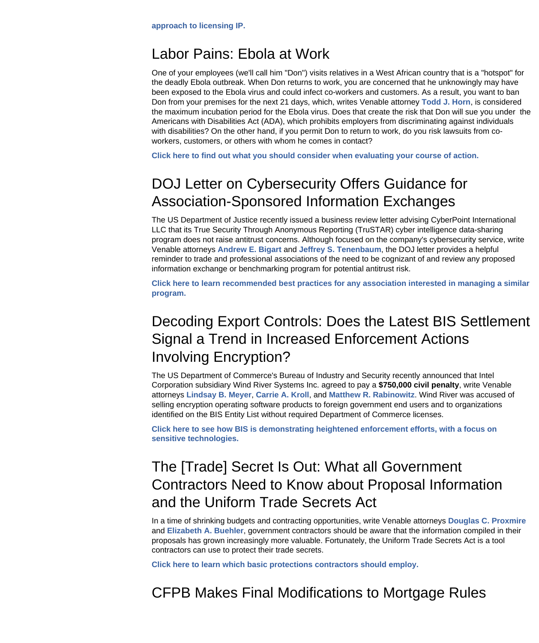### Labor Pains: Ebola at Work

One of your employees (we'll call him "Don") visits relatives in a West African country that is a "hotspot" for the deadly Ebola outbreak. When Don returns to work, you are concerned that he unknowingly may have been exposed to the Ebola virus and could infect co-workers and customers. As a result, you want to ban Don from your premises for the next 21 days, which, writes Venable attorney **[Todd J. Horn](http://www.venable.com/Todd-J-Horn?utm_source=hubbard&utm_medium=email&utm_campaign=BND-November2014)**, is considered the maximum incubation period for the Ebola virus. Does that create the risk that Don will sue you under the Americans with Disabilities Act (ADA), which prohibits employers from discriminating against individuals with disabilities? On the other hand, if you permit Don to return to work, do you risk lawsuits from coworkers, customers, or others with whom he comes in contact?

**[Click here to find out what you should consider when evaluating your course of action.](http://www.venable.com/labor-pains-ebola-at-work/?utm_source=hubbard&utm_medium=email&utm_campaign=BND-November2014)**

### DOJ Letter on Cybersecurity Offers Guidance for Association-Sponsored Information Exchanges

The US Department of Justice recently issued a business review letter advising CyberPoint International LLC that its True Security Through Anonymous Reporting (TruSTAR) cyber intelligence data-sharing program does not raise antitrust concerns. Although focused on the company's cybersecurity service, write Venable attorneys **[Andrew E. Bigart](http://www.venable.com/Andrew-E-Bigart?utm_source=hubbard&utm_medium=email&utm_campaign=BND-November2014)** and **[Jeffrey S. Tenenbaum](http://www.venable.com/Jeffrey-S-Tenenbaum?utm_source=hubbard&utm_medium=email&utm_campaign=BND-November2014)**, the DOJ letter provides a helpful reminder to trade and professional associations of the need to be cognizant of and review any proposed information exchange or benchmarking program for potential antitrust risk.

**[Click here to learn recommended best practices for any association interested in managing a similar](http://www.venable.com/doj-letter-on-cybersecurity-offers-guidance-for-association-sponsored-information-exchanges/?utm_source=hubbard&utm_medium=email&utm_campaign=BND-November2014) [program.](http://www.venable.com/doj-letter-on-cybersecurity-offers-guidance-for-association-sponsored-information-exchanges/?utm_source=hubbard&utm_medium=email&utm_campaign=BND-November2014)**

## Decoding Export Controls: Does the Latest BIS Settlement Signal a Trend in Increased Enforcement Actions Involving Encryption?

The US Department of Commerce's Bureau of Industry and Security recently announced that Intel Corporation subsidiary Wind River Systems Inc. agreed to pay a **\$750,000 civil penalty**, write Venable attorneys **[Lindsay B. Meyer](http://www.venable.com/Lindsay-B-Meyer?utm_source=hubbard&utm_medium=email&utm_campaign=BND-November2014)**, **[Carrie A. Kroll](http://www.venable.com/Carrie-A-Kroll?utm_source=hubbard&utm_medium=email&utm_campaign=BND-November2014)**, and **[Matthew R. Rabinowitz](http://www.venable.com/Matthew-R-Rabinowitz?utm_source=hubbard&utm_medium=email&utm_campaign=BND-November2014)**. Wind River was accused of selling encryption operating software products to foreign government end users and to organizations identified on the BIS Entity List without required Department of Commerce licenses.

**[Click here to see how BIS is demonstrating heightened enforcement efforts, with a focus on](http://www.venable.com/decoding-export-controls-does-the-latest-bis-settlement-signal-a-trend-in-increased-enforcement-actions-involving-encryption/?utm_source=hubbard&utm_medium=email&utm_campaign=BND-November2014) [sensitive technologies.](http://www.venable.com/decoding-export-controls-does-the-latest-bis-settlement-signal-a-trend-in-increased-enforcement-actions-involving-encryption/?utm_source=hubbard&utm_medium=email&utm_campaign=BND-November2014)**

## The [Trade] Secret Is Out: What all Government Contractors Need to Know about Proposal Information and the Uniform Trade Secrets Act

In a time of shrinking budgets and contracting opportunities, write Venable attorneys **[Douglas C. Proxmire](http://www.venable.com/Douglas-C-Proxmire?utm_source=hubbard&utm_medium=email&utm_campaign=BND-November2014)** and **[Elizabeth A. Buehler](http://www.venable.com/Elizabeth-A-Buehler?utm_source=hubbard&utm_medium=email&utm_campaign=BND-November2014)**, government contractors should be aware that the information compiled in their proposals has grown increasingly more valuable. Fortunately, the Uniform Trade Secrets Act is a tool contractors can use to protect their trade secrets.

**[Click here to learn which basic protections contractors should employ.](http://www.venable.com/the-trade-secret-is-out-what-all-government-contractors-need-to-know-about-proposal-information-and-the-uniform-trade-secrets-act-10-31-2014/?utm_source=hubbard&utm_medium=email&utm_campaign=BND-November2014)**

CFPB Makes Final Modifications to Mortgage Rules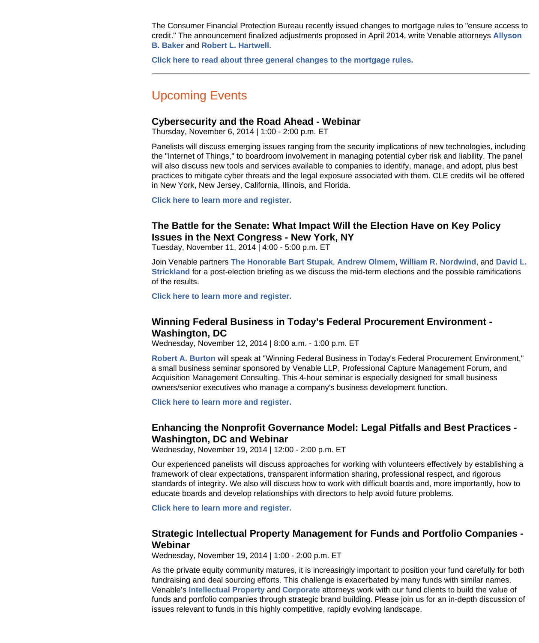The Consumer Financial Protection Bureau recently issued changes to mortgage rules to "ensure access to credit." The announcement finalized adjustments proposed in April 2014, write Venable attorneys **[Allyson](http://www.venable.com/Allyson-B-Baker?utm_source=hubbard&utm_medium=email&utm_campaign=BND-November2014) [B. Baker](http://www.venable.com/Allyson-B-Baker?utm_source=hubbard&utm_medium=email&utm_campaign=BND-November2014)** and **[Robert L. Hartwell](http://www.venable.com/Robert-L-Hartwell?utm_source=hubbard&utm_medium=email&utm_campaign=BND-November2014)**.

**[Click here to read about three general changes to the mortgage rules.](http://www.venable.com/cfpb-makes-final-modifications-to-mortgage-rules-10-31-2014/?utm_source=hubbard&utm_medium=email&utm_campaign=BND-November2014)**

### Upcoming Events

#### **Cybersecurity and the Road Ahead - Webinar**

Thursday, November 6, 2014 | 1:00 - 2:00 p.m. ET

Panelists will discuss emerging issues ranging from the security implications of new technologies, including the "Internet of Things," to boardroom involvement in managing potential cyber risk and liability. The panel will also discuss new tools and services available to companies to identify, manage, and adopt, plus best practices to mitigate cyber threats and the legal exposure associated with them. CLE credits will be offered in New York, New Jersey, California, Illinois, and Florida.

**[Click here to learn more and register.](http://info.law.com/VenableWebinar_Reg.html?mkt_tok=3RkMMJWWfF9wsRoivazLZKXonjHpfsX54ugsUKS0g4kz2EFye+LIHETpodcMS8pkN6+TFAwTG5toziV8R7PAJc1sws0QXhPj)**

#### **The Battle for the Senate: What Impact Will the Election Have on Key Policy Issues in the Next Congress - New York, NY**

Tuesday, November 11, 2014 | 4:00 - 5:00 p.m. ET

Join Venable partners **[The Honorable Bart Stupak](http://www.venable.com/bart-stupak/?utm_source=hubbard&utm_medium=email&utm_campaign=BND-November2014)**, **[Andrew Olmem](http://www.venable.com/andrew-j-olmem/?utm_source=hubbard&utm_medium=email&utm_campaign=BND-November2014)**, **[William R. Nordwind](http://www.venable.com/william-r-nordwind?utm_source=hubbard&utm_medium=email&utm_campaign=BND-November2014)**, and **[David L.](http://www.venable.com/david-l-strickland/?utm_source=hubbard&utm_medium=email&utm_campaign=BND-November2014) [Strickland](http://www.venable.com/david-l-strickland/?utm_source=hubbard&utm_medium=email&utm_campaign=BND-November2014)** for a post-election briefing as we discuss the mid-term elections and the possible ramifications of the results.

**[Click here to learn more and register.](http://events.venable.com/events/the-battle-for-the-senate-what-impact-will-the-election-have-on-key-policy-issues-in-the-next-congre/event-summary-ceb1894637364e24acc08a67bb880e42.aspx?i=fbecf08e-bce3-4c91-8eb7-abbac4867d1d)**

#### **Winning Federal Business in Today's Federal Procurement Environment - Washington, DC**

Wednesday, November 12, 2014 | 8:00 a.m. - 1:00 p.m. ET

**[Robert A. Burton](http://www.venable.com/Robert-A-Burton?utm_source=hubbard&utm_medium=email&utm_campaign=BND-November2014)** will speak at "Winning Federal Business in Today's Federal Procurement Environment," a small business seminar sponsored by Venable LLP, Professional Capture Management Forum, and Acquisition Management Consulting. This 4-hour seminar is especially designed for small business owners/senior executives who manage a company's business development function.

**[Click here to learn more and register.](https://events.r20.constantcontact.com/register/eventReg?oeidk=a07ea0b1ljw5d214009&oseq=&c=&ch=)**

#### **Enhancing the Nonprofit Governance Model: Legal Pitfalls and Best Practices - Washington, DC and Webinar**

Wednesday, November 19, 2014 | 12:00 - 2:00 p.m. ET

Our experienced panelists will discuss approaches for working with volunteers effectively by establishing a framework of clear expectations, transparent information sharing, professional respect, and rigorous standards of integrity. We also will discuss how to work with difficult boards and, more importantly, how to educate boards and develop relationships with directors to help avoid future problems.

**[Click here to learn more and register.](http://events.venable.com/events/enhancing-the-nonprofit-governance-model-legal-pitfalls-and-best-practices/event-summary-44ca925b7dd4411ea8c69eea2a9a8b9a.aspx)**

#### **Strategic Intellectual Property Management for Funds and Portfolio Companies - Webinar**

Wednesday, November 19, 2014 | 1:00 - 2:00 p.m. ET

As the private equity community matures, it is increasingly important to position your fund carefully for both fundraising and deal sourcing efforts. This challenge is exacerbated by many funds with similar names. Venable's **[Intellectual Property](http://www.venable.com/Intellectual-Property-Overview-Practices?utm_source=hubbard&utm_medium=email&utm_campaign=BND-November2014)** and **[Corporate](http://www.venable.com/Corporate?utm_source=hubbard&utm_medium=email&utm_campaign=BND-November2014)** attorneys work with our fund clients to build the value of funds and portfolio companies through strategic brand building. Please join us for an in-depth discussion of issues relevant to funds in this highly competitive, rapidly evolving landscape.